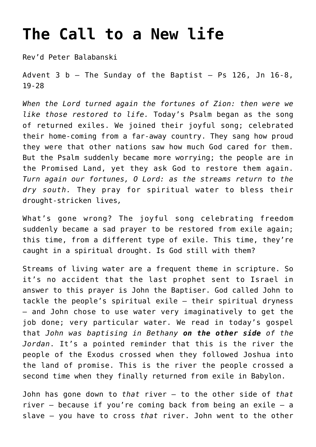## **[The Call to a New life](http://stjohnsadelaide.org.au/the-call-to-a-new-life/)**

Rev'd Peter Balabanski

Advent  $3$  b - The Sunday of the Baptist - Ps 126, Jn 16-8, 19-28

*When the Lord turned again the fortunes of Zion: then were we like those restored to life.* Today's Psalm began as the song of returned exiles. We joined their joyful song; celebrated their home-coming from a far-away country. They sang how proud they were that other nations saw how much God cared for them. But the Psalm suddenly became more worrying; the people are in the Promised Land, yet they ask God to restore them again. *Turn again our fortunes, O Lord: as the streams return to the dry south.* They pray for spiritual water to bless their drought-stricken lives*,*

What's gone wrong? The joyful song celebrating freedom suddenly became a sad prayer to be restored from exile again; this time, from a different type of exile. This time, they're caught in a spiritual drought. Is God still with them?

Streams of living water are a frequent theme in scripture. So it's no accident that the last prophet sent to Israel in answer to this prayer is John the Baptiser. God called John to tackle the people's spiritual exile – their spiritual dryness – and John chose to use water very imaginatively to get the job done; very particular water. We read in today's gospel that *John was baptising in Bethany on the other side of the Jordan*. It's a pointed reminder that this is the river the people of the Exodus crossed when they followed Joshua into the land of promise. This is the river the people crossed a second time when they finally returned from exile in Babylon.

John has gone down to *that* river – to the other side of *that* river – because if you're coming back from being an exile – a slave – you have to cross *that* river. John went to the other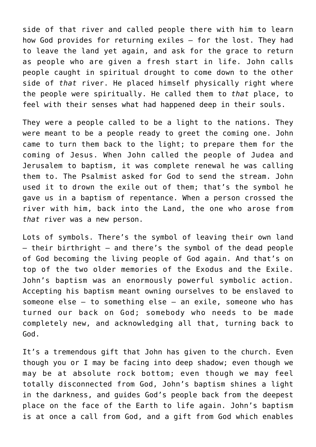side of that river and called people there with him to learn how God provides for returning exiles – for the lost. They had to leave the land yet again, and ask for the grace to return as people who are given a fresh start in life. John calls people caught in spiritual drought to come down to the other side of *that* river. He placed himself physically right where the people were spiritually. He called them to *that* place, to feel with their senses what had happened deep in their souls.

They were a people called to be a light to the nations. They were meant to be a people ready to greet the coming one. John came to turn them back to the light; to prepare them for the coming of Jesus. When John called the people of Judea and Jerusalem to baptism, it was complete renewal he was calling them to. The Psalmist asked for God to send the stream. John used it to drown the exile out of them; that's the symbol he gave us in a baptism of repentance. When a person crossed the river with him, back into the Land, the one who arose from *that* river was a new person.

Lots of symbols. There's the symbol of leaving their own land – their birthright – and there's the symbol of the dead people of God becoming the living people of God again. And that's on top of the two older memories of the Exodus and the Exile. John's baptism was an enormously powerful symbolic action. Accepting his baptism meant owning ourselves to be enslaved to someone else – to something else – an exile, someone who has turned our back on God; somebody who needs to be made completely new, and acknowledging all that, turning back to God.

It's a tremendous gift that John has given to the church. Even though you or I may be facing into deep shadow; even though we may be at absolute rock bottom; even though we may feel totally disconnected from God, John's baptism shines a light in the darkness, and guides God's people back from the deepest place on the face of the Earth to life again. John's baptism is at once a call from God, and a gift from God which enables